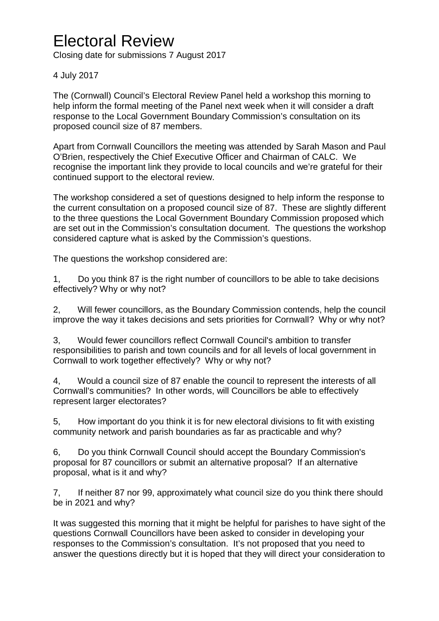## Electoral Review

Closing date for submissions 7 August 2017

## 4 July 2017

The (Cornwall) Council's Electoral Review Panel held a workshop this morning to help inform the formal meeting of the Panel next week when it will consider a draft response to the Local Government Boundary Commission's consultation on its proposed council size of 87 members.

Apart from Cornwall Councillors the meeting was attended by Sarah Mason and Paul O'Brien, respectively the Chief Executive Officer and Chairman of CALC. We recognise the important link they provide to local councils and we're grateful for their continued support to the electoral review.

The workshop considered a set of questions designed to help inform the response to the current consultation on a proposed council size of 87. These are slightly different to the three questions the Local Government Boundary Commission proposed which are set out in the Commission's consultation document. The questions the workshop considered capture what is asked by the Commission's questions.

The questions the workshop considered are:

1, Do you think 87 is the right number of councillors to be able to take decisions effectively? Why or why not?

2, Will fewer councillors, as the Boundary Commission contends, help the council improve the way it takes decisions and sets priorities for Cornwall? Why or why not?

3, Would fewer councillors reflect Cornwall Council's ambition to transfer responsibilities to parish and town councils and for all levels of local government in Cornwall to work together effectively? Why or why not?

4, Would a council size of 87 enable the council to represent the interests of all Cornwall's communities? In other words, will Councillors be able to effectively represent larger electorates?

5, How important do you think it is for new electoral divisions to fit with existing community network and parish boundaries as far as practicable and why?

6, Do you think Cornwall Council should accept the Boundary Commission's proposal for 87 councillors or submit an alternative proposal? If an alternative proposal, what is it and why?

7, If neither 87 nor 99, approximately what council size do you think there should be in 2021 and why?

It was suggested this morning that it might be helpful for parishes to have sight of the questions Cornwall Councillors have been asked to consider in developing your responses to the Commission's consultation. It's not proposed that you need to answer the questions directly but it is hoped that they will direct your consideration to